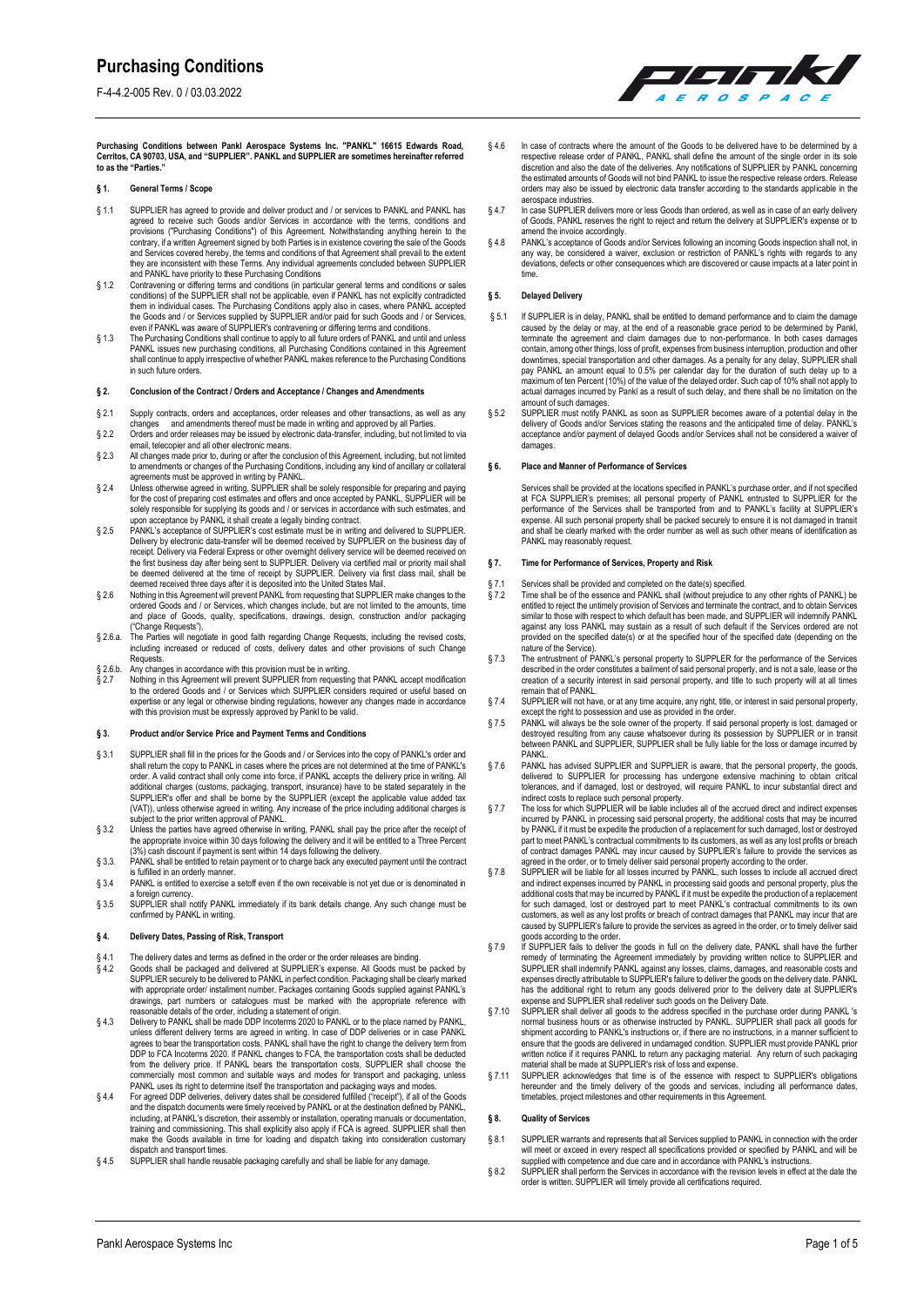**Purchasing Conditions between Pankl Aerospace Systems Inc. "PANKL" 16615 Edwards Road, Cerritos, CA 90703, USA, and "SUPPLIER". PANKL and SUPPLIER are sometimes hereinafter referred to as the "Parties."**

#### **§ 1. General Terms / Scope**

- § 1.1 SUPPLIER has agreed to provide and deliver product and / or services to PANKL and PANKL has agreed to receive such Goods and/or Services in accordance with the terms, conditions and provisions ("Purchasing Conditions") of this Agreement. Notwithstanding anything herein to the contrary, if a written Agreement signed by both Parties is in existence covering the sale of the Goods and Services covered hereby, the terms and conditions of that Agreement shall prevail to the extent
- and Services covered hereby, the terms and conditions of that Agreement shall prevail to the extent<br>they are inconsistent with these Terms. Any individual agreements concluded between SUPPLIER<br>and PANKL have priority to th
- shall continue to apply irrespective of whether PANKL makes reference to the Purchasing Conditions in such future orders.

### **§ 2. Conclusion of the Contract / Orders and Acceptance / Changes and Amendments**

- § 2.1 Supply contracts, orders and acceptances, order releases and other transactions, as well as any
- changes and amendments thereof must be made in writing and approved by all Parties. § 2.2 Orders and order releases may be issued by electronic data-transfer, including, but not limited to via
- mail, telecopier and all other electronic means. § 2.3 All changes made prior to, during or after the conclusion of this Agreement, including, but not limited<br>to amendments or changes of the Purchasing Conditions, including any kind of ancillary or collateral<br>agreements
- for the cost of preparing cost estimates and offers and once accepted by PANKL, SUPPLIER will be<br>solely responsible for supplying its goods and / or services in accordance with such estimates, and<br>upon acceptance by PANKL
- receipt. Delivery via Federal Express or other overnight delivery service will be deemed received on<br>the first business day after being sent to SUPPLIER. Delivery via certified mail or priority mail shall<br>be deemed deliver
- and place of Goods, quality, specifications, drawings, design, construction and/or packaging ("Change Requests"),
- § 2.6.a. The Parties will negotiate in good faith regarding Change Requests, including the revised costs, including increased or reduced of costs, delivery dates and other provisions of such Change Requests
- 
- § 2.6.b. Any changes in accordance with this provision must be in writing.<br>§ 2.7 Nothing in this Agreement will prevent SUPPLIER from requesting that PANKL accept modification to the ordered Goods and / or Services which SUPPLIER considers required or useful based on expertise or any legal or otherwise binding regulations, however any changes made in accordance with this provision must be expressly approved by Pankl to be valid.
- **§ 3. Product and/or Service Price and Payment Terms and Conditions**
- § 3.1 SUPPLIER shall fill in the prices for the Goods and / or Services into the copy of PANKL's order and shall return the copy to PANKL in cases where the prices are not determined at the time of PANKL's order. A valid contract shall only come into force, if PANKL accepts the delivery price in writing. All additional charges (customs, packaging, transport, insurance) have to be stated separately in the<br>SUPPLIER's offer and shall be borne by the SUPPLIER (except the applicable value added tax<br>(VAT)), unless otherwise agreed i
- § 3.2 Unless the parties have agreed otherwise in writing, PANKL shall pay the price after the receipt of the appropriate invoice within 30 days following the delivery and it will be entitled to a Three Percent
- (3%) cash discount if payment is sent within 14 days following the delivery. § 3.3. PANKL shall be entitled to retain payment or to charge back any executed payment until the contract is fulfilled in an orderly manner.
- § 3.4 PANKL is entitled to exercise a setoff even if the own receivable is not yet due or is denominated in a foreign currency.
- § 3.5 SUPPLIER shall notify PANKL immediately if its bank details change. Any such change must be confirmed by PANKL in writing.

### **§ 4. Delivery Dates, Passing of Risk, Transport**

- § 4.1 The delivery dates and terms as defined in the order or the order releases are binding.<br>§ 4.2 Goods shall be packaged and delivered at SUPPLIER's expense. All Goods must to
- § 4.2 Goods shall be packaged and delivered at SUPPLIER's expense. All Goods must be packed by SUPPLIER securely to be delivered to PANKL in perfect condition. Packaging shall be clearly marked with appropriate order/ installment number. Packages containing Goods supplied against PANKL's<br>drawings, part numbers or catalogues must be marked with the appropriate reference with<br>reasonable details of the order, includ
- § 4.3 Delivery to PANKL shall be made DDP Incoterms 2020 to PANKL or to the place named by PANKL, unless different delivery terms are agreed in writing. In case of DDP deliveries or in case PANKL<br>agrees to bear the transpo from the delivery price. If PANKL bears the transportation costs, SUPPLIER shall choose the commercially most common and suitable ways and modes for transport and packaging, unless
- PANKL uses its right to determine itself the transportation and packaging ways and modes. § 4.4 For agreed DDP deliveries, delivery dates shall be considered fulfilled ("receipt"), if all of the Goods and the dispatch documents were timely received by PANKL or at the destination defined by PANKL, including, at PANKL's discretion, their assembly or installation, operating manuals or documentation, training and commissioning. This shall explicitly also apply if FCA is agreed. SUPPLIER shall then make the Goods available in time for loading and dispatch taking into consideration customary atch and transport times.
- § 4.5 SUPPLIER shall handle reusable packaging carefully and shall be liable for any damage.



- § 4.6 In case of contracts where the amount of the Goods to be delivered have to be determined by a respective release order of PANKL, PANKL shall define the amount of the single order in its sole discretion and also the date of the deliveries. Any notifications of SUPPLIER by PANKL concerning the estimated amounts of Goods will not bind PANKL to issue the respective release orders. Release orders may also be issued by electronic data transfer according to the standards applicable in the aerospace industries.
- § 4.7 In case SUPPLIER delivers more or less Goods than ordered, as well as in case of an early delivery of Goods, PANKL reserves the right to reject and return the delivery at SUPPLIER's expense or to amend the invoice accordingly.
- § 4.8 PANKL's acceptance of Goods and/or Services following an incoming Goods inspection shall not, in any way, be considered a waiver, exclusion or restriction of PANKL's rights with regards to any deviations, defects or other consequences which are discovered or cause impacts at a later point in time.

### **§ 5. Delayed Delivery**

- § 5.1 If SUPPLIER is in delay, PANKL shall be entitled to demand performance and to claim the damage caused by the delay or may, at the end of a reasonable grace period to be determined by Pankl, terminate the agreement and claim damages due to non-performance. In both cases damages contain, among other things, loss of profit, expenses from business interruption, production and other downtimes, special transportation and other damages. As a penalty for any delay, SUPPLIER shall pay PANKL an amount equal to 0.5% per calendar day for the duration of such delay up to a maximum of ten Percent (10%) of the value of the delayed order. Such cap of 10% shall not apply to actual damages incurred by Pankl as a result of such delay, and there shall be no limitation on the amount of such damages.
- § 5.2 SUPPLIER must notify PANKL as soon as SUPPLIER becomes aware of a potential delay delivery of Goods and/or Services stating the reasons and the anticipated time of delay. PANKL's acceptance and/or payment of delayed Goods and/or Services shall not be considered a waiver of damages.

## **§ 6. Place and Manner of Performance of Services**

Services shall be provided at the locations specified in PANKL's purchase order, and if not specified at FCA SUPPLIER's premises; all personal property of PANKL entrusted to SUPPLIER for the performance of the Services shall be transported from and to PANKL's facility at SUPPLIER's expense. All such personal property shall be packed securely to ensure it is not damaged in transit and shall be clearly marked with the order number as well as such other means of identification as PANKL may reasonably request.

#### **§ 7. Time for Performance of Services, Property and Risk**

- Services shall be provided and completed on the date(s) specified.
- § 7.2 Time shall be of the essence and PANKL shall (without prejudice to any other rights of PANKL) be entitled to reject the untimely provision of Services and terminate the contract, and to obtain Services similar to those with respect to which default has been made, and SUPPLIER will indemnify PANKL against any loss PANKL may sustain as a result of such default if the Services ordered are not provided on the specified date(s) or at the specified hour of the specified date (depending on the<br>nature of the Service).<br>§ 7.3 The entrustment of PANKL's personal property to SUPPLER for the performance of the Services
- described in the order constitutes a bailment of said personal property, and is not a sale, lease or the creation of a security interest in said personal property, and title to such property will at all times remain that of PANKL.
- § 7.4 SUPPLIER will not have, or at any time acquire, any right, title, or interest in said personal property, except the right to possession and use as provided in the order.<br>§ 7.5 PANKL will always be the sole owner of the property. If said personal property is lost, damaged or
- destroyed resulting from any cause whatsoever during its possession by SUPPLIER or in transit between PANKL and SUPPLIER, SUPPLIER shall be fully liable for the loss or damage incurred by PANKL.
- § 7.6 PANKL has advised SUPPLIER and SUPPLIER is aware, that the personal property, the goods, delivered to SUPPLIER for processing has undergone extensive machining to obtain critical tolerances, and if damaged, lost or destroyed, will require PANKL to incur substantial direct and
- indirect costs to replace such personal property.<br>The loss for which SUPPLIER will be liable includes all of the accrued direct and indirect expenses § 7.7 The loss for which SUPPLIER will be accrued forcurred incurred by PANKL if it must be expedite the production of a replacement for such damaged, lost or destroyed part to meet PANKL's contractual commitments to its customers, as well as any lost profits or breach of contract damages PANKL may incur caused by SUPPLIER's failure to provide the services as<br>agreed in the order, or to timely deliver said personal property according to the order.<br>ST.8 SUPPLIER will be liable for all loss
- and indirect expenses incurred by PANKL in processing said goods and personal property, plus the additional costs that may be incurred by PANKL if it must be expedite the production of a replacement for such damaged, lost or destroyed part to meet PANKL's contractual commitments to its own customers, as well as any lost profits or breach of contract damages that PANKL may incur that are caused by SUPPLIER's failure to provide the services as agreed in the order, or to timely deliver said
- goods according to the order.<br>§ 7.9 If SUPPLIER fails to deliver the goods in full on the delivery date, PANKL shall have the further remedy of terminating the Agreement immediately by providing written notice to SUPPLIER and SUPPLIER shall indemnify PANKL against any losses, claims, damages, and reasonable costs and expenses directly attributable to SUPPLIER's failure to deliver the goods on the delivery date. PANKL has the additional right to return any goods delivered prior to the delivery date at SUPPLIER's<br>expense and SUPPLIER shall redeliver such goods on the Delivery Date.<br>ST.10 SUPPLIER shall deliver all goods to the address sp
- normal business hours or as otherwise instructed by PANKL. SUPPLIER shall pack all goods for shipment according to PANKL's instructions or, if there are no instructions, in a manner sufficient to ensure that the goods are delivered in undamaged condition. SUPPLIER must provide PANKL prior written notice if it requires PANKL to return any packaging material. Any return of such packaging material shall be made at SUPPLIER's risk of loss and expense.
- § 7.11 SUPPLIER acknowledges that time is of the essence with respect to SUPPLIER's obligations hereunder and the timely delivery of the goods and services, including all performance dates, timetables, project milestones and other requirements in this Agreement.

### **§ 8. Quality of Services**

- § 8.1 SUPPLIER warrants and represents that all Services supplied to PANKL in connection with the order will meet or exceed in every respect all specifications provided or specified by PANKL and will be
- supplied with competence and due care and in accordance with PANKL's instructions.<br>Stare SupPLIER shall perform the Services in accordance with the revision levels in effect at the date the St<br>order is written. SUPPLIER wi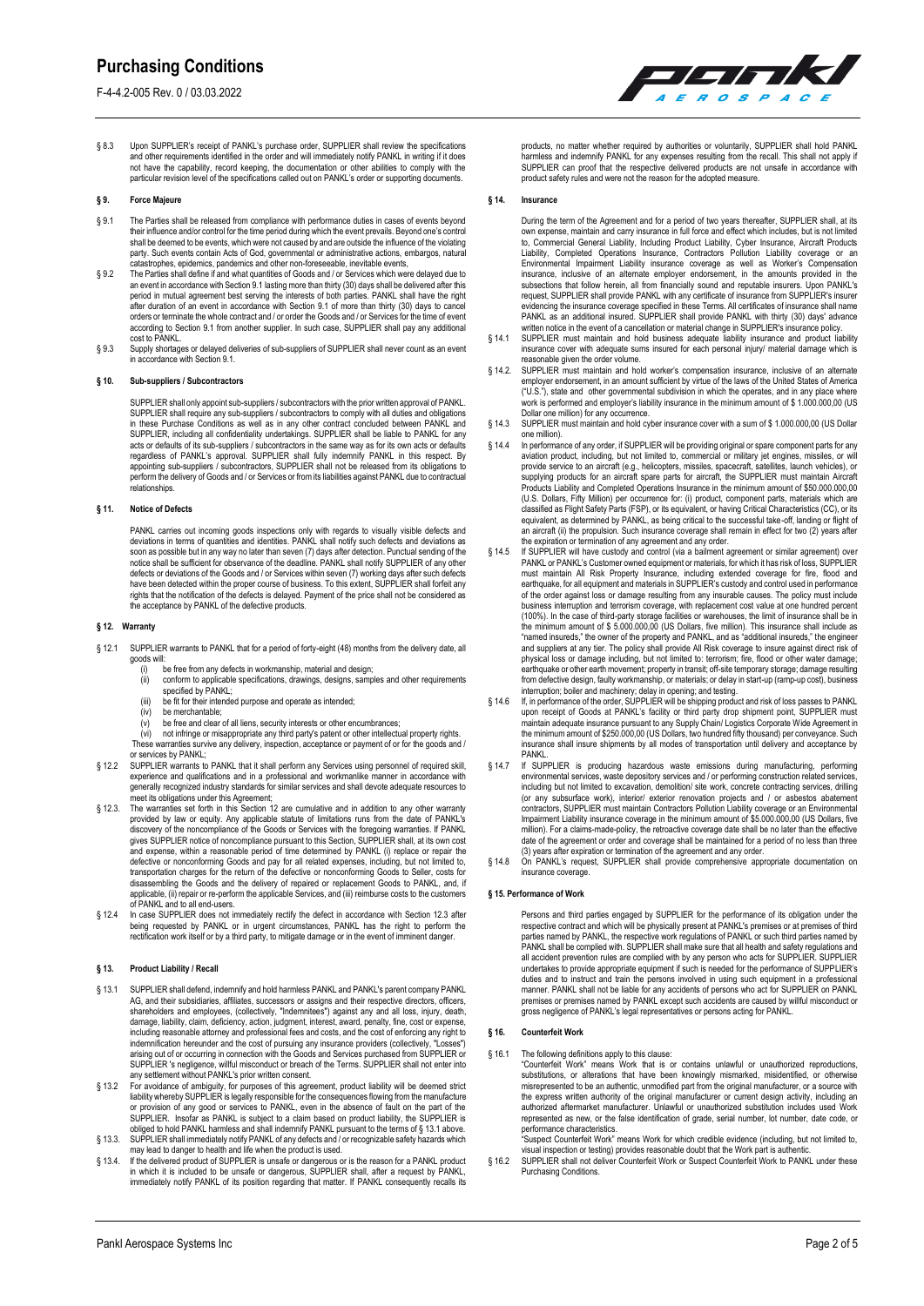

§ 8.3 Upon SUPPLIER's receipt of PANKL's purchase order, SUPPLIER shall review the specifications and other requirements identified in the order and will immediately notify PANKL in writing if it does<br>not have the capabili

#### **§ 9. Force Majeure**

- § 9.1 The Parties shall be released from compliance with performance duties in cases of events beyond their influence and/or control for the time period during which the event prevails. Beyond one's control shall be deemed to be events, which were not caused by and are outside the influence of the violating party. Such events contain Acts of God, governmental or administrative actions, embargos, natural
- catastrophes, epidemics, pandemics and other non-foreseeable, inevitable events, § 9.2 The Parties shall define if and what quantities of Goods and / or Services which were delayed due to an event in accordance with Section 9.1 lasting more than thirty (30) days shall be delivered after this<br>period in mutual agreement best serving the interests of both parties. PANKL shall have the right<br>after duration of a orders or terminate the whole contract and / or order the Goods and / or Services for the time of event according to Section 9.1 from another supplier. In such case, SUPPLIER shall pay any additional cost to PANKL.
- § 9.3 Supply shortages or delayed deliveries of sub-suppliers of SUPPLIER shall never count as an event in accordance with Section 9.1.

# **§ 10. Sub-suppliers / Subcontractors**

SUPPLIER shall only appoint sub-suppliers / subcontractors with the prior written approval of PANKL. SUPPLIER shall require any sub-suppliers / subcontractors to comply with all duties and obligations in these Purchase Conditions as well as in any other contract concluded between PANKL and SUPPLIER, including all confidentiality undertakings. SUPPLIER shall be liable to PANKL for any acts or defaults of its sub-suppliers / subcontractors in the same way as for its own acts or defaults regardless of PANKL's approval. SUPPLIER shall fully indemnify PANKL in this respect. By appointing sub-suppliers / subcontractors, SUPPLIER shall not be released from its obligations to perform the delivery of Goods and / or Services or from its liabilities against PANKL due to contractual relationships.

### **§ 11. Notice of Defects**

PANKL carries out incoming goods inspections only with regards to visually visible defects and deviations in terms of quantities and identities. PANKL shall notify such defects and deviations as soon as possible but in any way no later than seven (7) days after detection. Punctual sending of the notice shall be sufficient for observance of the deadline. PANKL shall notify SUPPLIER of any other defects or deviations of the Goods and / or Services within seven (7) working days after such defects have been detected within the proper course of business. To this extent, SUPPLIER shall forfeit any rights that the notification of the defects is delayed. Payment of the price shall not be considered as the acceptance by PANKL of the defective products.

### **§ 12. Warranty**

- § 12.1 SUPPLIER warrants to PANKL that for a period of forty-eight (48) months from the delivery date, all goods will:
	- (i) be free from any defects in workmanship, material and design; (ii) conform to applicable specifications, drawings, designs, samples and other requirements
	- specified by PANKL;
	- (iii) be fit for their intended purpose and operate as intended<br> $f(v)$  be merchantable: he merchantable;
	- be free and clear of all liens, security interests or other encumbrances;
	- (vi) not infringe or misappropriate any third party's patent or other intellectual property rights. These warranties survive any delivery, inspection, acceptance or payment of or for the goods and /
	- or services by PANKL;
- § 12.2 SUPPLIER warrants to PANKL that it shall perform any Services using personnel of required skill, experience and qualifications and in a professional and workmanlike manner in accordance with generally recognized industry standards for similar services and shall devote adequate resources to
- meet its obligations under this Agreement;<br>
§ 12.3. The warranties set forth in this Section 12 are cumulative and in addition to any other warranty<br>
provided by law or equity. Any applicable statute of limitations runs fr and expense, within a reasonable period of time determined by PANKL (i) replace or repair the<br>defective or nonconforming Goods and pay for all related expenses, including, but not limited to,<br>transportation charges for the of PANKL and to all end-users.
- § 12.4 In case SUPPLIER does not immediately rectify the defect in accordance with Section 12.3 after being requested by PANKL or in urgent circumstances, PANKL has the right to perform the rectification work itself or by a third party, to mitigate damage or in the event of imminent danger.

### **§ 13. Product Liability / Recall**

- § 13.1 SUPPLIER shall defend, indemnify and hold harmless PANKL and PANKL's parent company PANKL AG, and their subsidiaries, affiliates, successors or assigns and their respective directors, officers, shareholders and employees, (collectively, "Indemnitees") against any and all loss, injury, death, damage, liability, claim, deficiency, action, judgment, interest, award, penalty, fine, cost or expense, including reasonable attorney and professional fees and costs, and the cost of enforcing any right to indemnification hereunder and the cost of pursuing any insurance providers (collectively, "Losses") arising out of or occurring in connection with the Goods and Services purchased from SUPPLIER or SUPPLIER 's negligence, willful misconduct or breach of the Terms. SUPPLIER shall not enter into
- any settlement without PANKL's prior written consent.<br>
§ 13.2 For avoitance of ambiguity, for purposes of this agreement, product liability will be deemed strict<br>
liability whereby SUPPLIER is legally responsible for the c
- § 13.3. SUPPLIER shall immediately notify PANKL of any defects and / or recognizable safety hazards which may lead to danger to health and life when the product is used.
- § 13.4. If the delivered product of SUPPLIER is unsafe or dangerous or is the reason for a PANKL product<br>in which it is included to be unsafe or dangerous, SUPPLIER shall, after a request by PANKL<br>immediately notify PANKL

products, no matter whether required by authorities or voluntarily, SUPPLIER shall hold PANKL<br>harmless and indemnify PANKL for any expenses resulting from the recall. This shall not apply if<br>SUPPLIER can proof that the res product safety rules and were not the reason for the adopted measure.

#### **§ 14. Insurance**

 During the term of the Agreement and for a period of two years thereafter, SUPPLIER shall, at its own expense, maintain and carry insurance in full force and effect which includes, but is not limited to, Commercial General Liability, Including Product Liability, Cyber Insurance, Aircraft Products Liability, Completed Operations Insurance, Contractors Pollution Liability coverage or an Environmental Impairment Liability insurance coverage as well as Worker's Compensation insurance, inclusive of an alternate employer endorsement, in the amounts provided in the subsections that follow herein, all from financially sound and reputable insurers. Upon PANKL's<br>request, SUPPLIER shall provide PANKL with any certificate of insurance from SUPPLIER's insurer<br>evidencing the insurance cover

- § 14.1 SUPPLIER must maintain and hold business adequate liability insurance and product liability insurance cover with adequate sums insured for each personal injury/ material damage which is
- reasonable given the order volume. § 14.2. SUPPLIER must maintain and hold worker's compensation insurance, inclusive of an alternate employer endorsement, in an amount sufficient by virtue of the laws of the United States of America ("U.S."), state and other governmental subdivision in which the operates, and in any place where work is performed and employer's liability insurance in the minimum amount of \$ 1.000.000,00 (US<br>Dollar one million) for any occurrence.<br>§ 14.3 SUPPLIER must maintain and hold cyber insurance cover with a sum of \$ 1.000.0
- one million).
- § 14.4 In performance of any order, if SUPPLIER will be providing original or spare component parts for any aviation product, including, but not limited to, commercial or military jet engines, missiles, or will<br>provide service to an aircraft (e.g., helicopters, missiles, spacecraft, satellities, launch vehicles), or<br>supplying pr (U.S. Dollars, Fifty Million) per occurrence for: (i) product, component parts, materials which are classified as Flight Safety Parts (FSP), or its equivalent, or having Critical Characteristics (CC), or its equivalent, as determined by PANKL, as being critical to the successful take-off, landing or flight of<br>an aircraft (ii) the propulsion. Such insurance coverage shall remain in effect for two (2) years after<br>the expiration
- **EXECUTER WILL HAVE CUSTOM CONTROLLER WILL HAVE CUSTOM** and control (via a bailment agreement or similar agreement) PANKL or PANKL's Customer owned equipment or materials, for which it has risk of loss, SUPPLIER<br>must maintain All Risk Property Insurance, including extended coverage for fire, flood and<br>earthquake, for all equipment and m of the order against loss or damage resulting from any insurable causes. The policy must include business interruption and terrorism coverage, with replacement cost value at one hundred percent (100%). In the case of third-party storage facilities or warehouses, the limit of insurance shall be in<br>the minimum amount of \$ 5.000.000,00 (US Dollars, five million). This insurance shall include as<br>"named insureds," the earthquake or other earth movement; property in transit; off-site temporary storage; damage resulting from defective design, faulty workmanship, or materials; or delay in start-up (ramp-up cost), business<br>interruption; boiler and machinery; delay in opening; and testing.<br>S 14.6 If, in performance of the order, SUPPLIER wi
- upon receipt of Goods at PANKL's facility or third party drop shipment point, SUPPLIER must maintain adequate insurance pursuant to any Supply Chain/ Logistics Corporate Wide Agreement in the minimum amount of \$250.000,00 (US Dollars, two hundred fifty thousand) per conveyance. Such insurance shall insure shipments by all modes of transportation until delivery and acceptance by PANKL.
- § 14.7 If SUPPLIER is producing hazardous waste emissions during manufacturing, performing<br>environmental services, waste depository services and / or performing construction related services, including but not limited to excavation, demolition/ site work, concrete contracting services, drilling (or any subsurface work), interior/ exterior renovation projects and  $\ell$  or asbestos abatement contractors, SUPPLIER must maintain Contractors Pollution Liability coverage or an Environmental Impairment Liability insurance coverage in the minimum amount of \$5.000.000,00 (US Dollars, five million). For a claims-made-policy, the retroactive coverage date shall be no later than the effective date of the agreement or order and coverage shall be maintained for a period of no less than three (3) years after expiration or termination of the agreement and any order. § 14.8 On PANKL's request, SUPPLIER shall provide comprehensive appropriate documentation on
- insurance coverage.

## **§ 15. Performance of Work**

Persons and third parties engaged by SUPPLIER for the performance of its obligation under the respective contract and which will be physically present at PANKL's premises or at premises of third<br>parties named by PANKL, the respective work regulations of PANKL or such third parties named by<br>PANKL shall be complied w all accident prevention rules are complied with by any person who acts for SUPPLIER. SUPPLIER undertakes to provide appropriate equipment if such is needed for the performance of SUPPLIER's<br>duties and to instruct and train the persons involved in using such equipment in a professional<br>manner. PANKL shall not be lia

# **§ 16. Counterfeit Work**

§ 16.1 The following definitions apply to this clause: "Counterfeit Work" means Work that is or contains unlawful or unauthorized reproductions, substitutions, or alterations that have been knowingly mismarked, misidentified, or otherwise misrepresented to be an authentic, unmodified part from the original manufacturer, or a source with the express written authority of the original manufacturer or current design activity, including an authorized aftermarket manufacturer. Unlawful or unauthorized substitution includes used Work represented as new, or the false identification of grade, serial number, lot number, date code, or performance characteristics.

"Suspect Counterfeit Work" means Work for which credible evidence (including, but not limited to, visual inspection or testing) provides reasonable doubt that the Work part is authentic.

Strate instruction of the liver of the counterfeit Work or Suspect Counterfeit Work to PANKL under these Purchasing Conditions.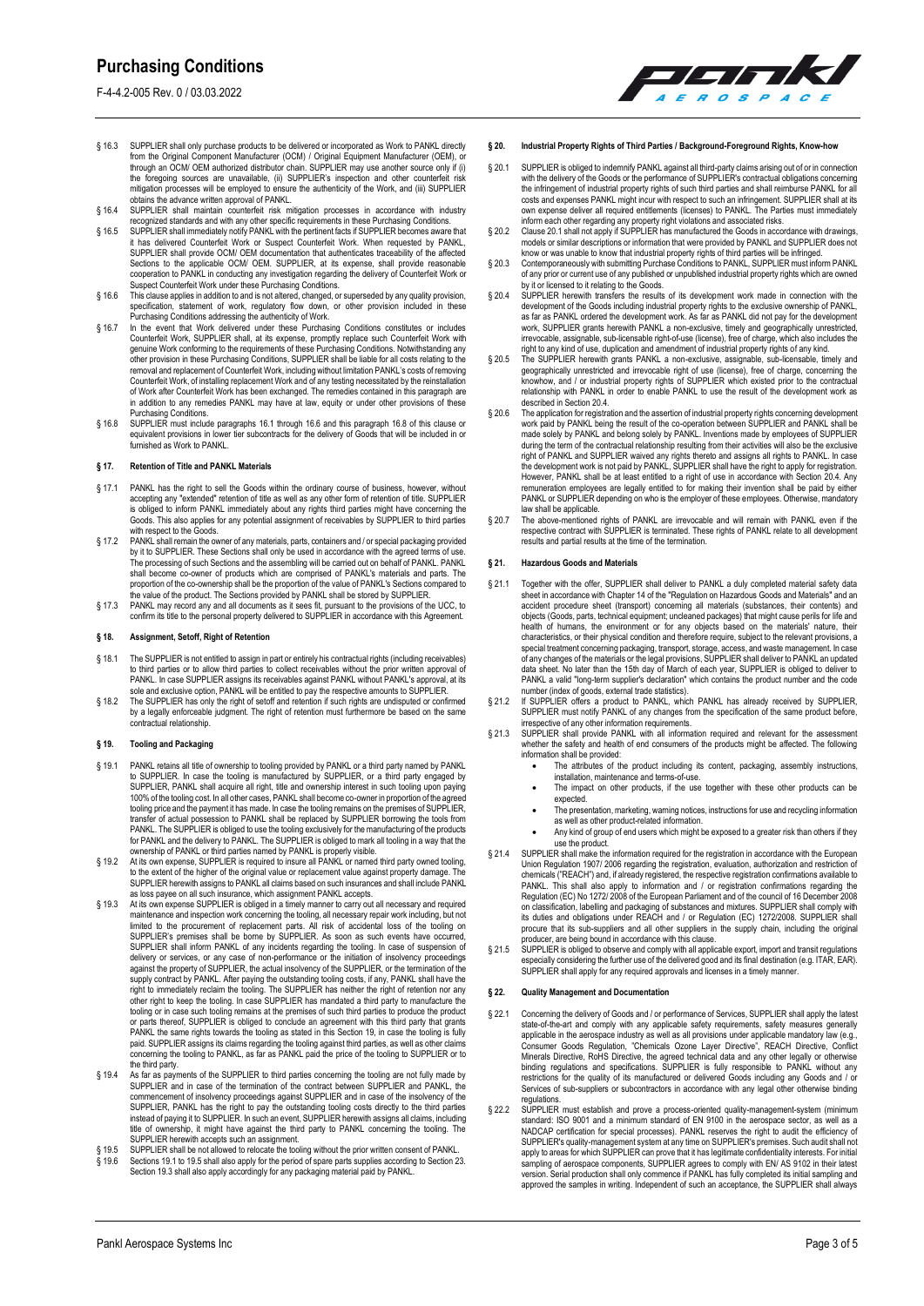

- § 16.3 SUPPLIER shall only purchase products to be delivered or incorporated as Work to PANKL directly<br>from the Original Component Manufacturer (OCM) / Original Equipment Manufacturer (OEM), or<br>through an OCM/ OEM authoriz mitigation processes will be employed to ensure the authenticity of the Work, and (iii) SUPPLIER obtains the advance written approval of PANKL.
- § 16.4 SUPPLIER shall maintain counterfeit risk mitigation processes in accordance with industry
- recognized standards and with any other specific requirements in these Purchasing Conditions. § 16.5 SUPPLIER shall immediately notify PANKL with the pertinent facts if SUPPLIER becomes aware that it has delivered Counterfeit Work or Suspect Counterfeit Work. When requested by PANKL, SUPPLIER shall provide OCM/ OEM documentation that authenticates traceability of the affected
- Sections to the applicable OCM/ OEM. SUPPLIER, at its expense, shall provide reasonable<br>cooperation to PANKL in conducting any investigation regarding the delivery of Counterfeit Work or<br>Suspect Counterfeit Work under thes
- § 16.7 In the event that Work delivered under these Purchasing Conditions constitutes or includes<br>Counterfeit Work, SUPPLIER shall, at its expense, promptly replace such Counterfeit Work with<br>genuine Work conforming to the Counterfeit Work, of installing replacement Work and of any testing necessitated by the reinstallation of Work after Counterfeit Work has been exchanged. The remedies contained in this paragraph are in addition to any remedies PANKL may have at law, equity or under other provisions of these<br>Purchasing Conditions.<br>§ 16.8 SUPPLIER must include paragraphs 16.1 through 16.6 and this paragraph 16.8 of this clause or
- equivalent provisions in lower tier subcontracts for the delivery of Goods that will be included in or furnished as Work to PANKL.

## **§ 17. Retention of Title and PANKL Materials**

- § 17.1 PANKL has the right to sell the Goods within the ordinary course of business, however, without accepting any "extended" retention of title as well as any other form of retention of title. SUPPLIER<br>is obliged to inform PANKL immediately about any rights third parties might have concerning the<br>Goods. This also applies with respect to the Goods.
- § 17.2 PANKL shall remain the owner of any materials, parts, containers and / or special packaging provided by it to SUPPLIER. These Sections shall only be used in accordance with the agreed terms of use.<br>The processing of such Sections and the assembling will be carried out on behalf of PANKL. PANKL<br>shall become co-owner of pro the value of the product. The Sections provided by PANKL shall be stored by SUPPLIER. § 17.3 PANKL may record any and all documents as it sees fit, pursuant to the provisions of the UCC, to
- confirm its title to the personal property delivered to SUPPLIER in accordance with this Agreement.

#### **§ 18. Assignment, Setoff, Right of Retention**

- § 18.1 The SUPPLIER is not entitled to assign in part or entirely his contractual rights (including receivables) to third parties or to allow third parties to collect receivables without the prior written approval of<br>PANKL. In case SUPPLIER assigns its receivables against PANKL without PANKL's approval, at its<br>sole and exclusive opti
- by a legally enforceable judgment. The right of retention must furthermore be based on the same contractual relationship.

### **§ 19. Tooling and Packaging**

- § 19.1 PANKL retains all title of ownership to tooling provided by PANKL or a third party named by PANKL<br>to SUPPLIER. In case the tooling is manufactured by SUPPLIER, or a third party engaged by<br>SUPPLIER, PANKL shall acqui tooling price and the payment it has made. In case the tooling remains on the premises of SUPPLIER, transfer of actual possession to PANKL shall be replaced by SUPPLIER borrowing the tools from PANKL. The SUPPLIER is obliged to use the tooling exclusively for the manufacturing of the products for PANKL and the delivery to PANKL. The SUPPLIER is obliged to mark all tooling in a way that the
- ownership of PANKL or third parties named by PANKL is properly visible.<br>§ 19.2 At its own expense, SUPPLIER is required to insure all PANKL or named third party owned tooling, to the extent of the higher of the original value or replacement value against property damage. The<br>SUPPLIER herewith assigns to PANKL all claims based on such insurances and shall include PANKL<br>as loss payee on all such i
- § 19.3 At its own expense SUPPLIER is obliged in a timely manner to carry out all necessary and required maintenance and inspection work concerning the tooling, all necessary repair work is limited to the procurement of re against the property of SUPPLIER, the actual insolvency of the SUPPLIER, or the termination of the<br>supply contract by PANKL. After paying the outstanding tooling costs, if any, PANKL shall have the<br>right to inmediately rec or parts thereof, SUPPLIER is obliged to conclude an agreement with this third party that grants PANKL the same rights towards the tooling as stated in this Section 19, in case the tooling is fully paid. SUPPLIER assigns its claims regarding the tooling against third parties, as well as other claims concerning the tooling to PANKL, as far as PANKL paid the price of the tooling to SUPPLIER or to the third party.
- § 19.4 As far as payments of the SUPPLIER to third parties concerning the tooling are not fully made by<br>SUPPLIER and in case of the termination of the contract between SUPPLIER and PANKL, the<br>commencernent of insolvency pr SUPPLIER, PANKL has the right to pay the outstanding tooling costs directly to the third parties<br>instead of paying it to SUPPLIER. In such an event, SUPPLIER herewith assigns all claims, including<br>title of ownership, it mi SUPPLIER herewith accepts such an assignment. § 19.5 SUPPLIER shall be not allowed to relocate the tooling without the prior written consent of PANKL.
- § 19.6 Sections 19.1 to 19.5 shall also apply for the period of spare parts supplies according to Section 23.<br>Section 19.3 shall also apply accordingly for any packaging material paid by PANKL.

## **§ 20. Industrial Property Rights of Third Parties / Background-Foreground Rights, Know-how**

- § 20.1 SUPPLIER is obliged to indemnify PANKL against all third-party claims arising out of or in connection with the delivery of the Goods or the performance of SUPPLIER's contractual obligations concerning the infringement of industrial property rights of such third parties and shall reimburse PANKL for all costs and expenses PANKL might incur with respect to such an infringement. SUPPLIER shall at its own expense deliver all required entitlements (licenses) to PANKL. The Parties must immediately
- inform each other regarding any property right violations and associated risks. § 20.2 Clause 20.1 shall not apply if SUPPLIER has manufactured the Goods in accordance with drawings, models or similar descriptions or information that were provided by PANKL and SUPPLIER does not know or was unable to know that industrial property rights of third parties will be infringed.
- § 20.3 Contemporaneously with submitting Purchase Conditions to PANKL, SUPPLIER must inform PANKL of any prior or current use of any published or unpublished industrial property rights which are owned
- by it or licensed to it relating to the Goods. § 20.4 SUPPLIER herewith transfers the results of its development work made in connection with the development of the Goods including industrial property rights to the exclusive ownership of PANKL, as far as PANKL ordered the development work. As far as PANKL did not pay for the development work, SUPPLIER grants herewith PANKL a non-exclusive, timely and geographically unrestricted,<br>irrevocable, assignable, sub-licensable right-of-use (license), free of charge, which also includes the<br>right to any kind of use
- § 20.5 The SUPPLIER herewith grants PANKL a non-exclusive, assignable, sub-licensable, timely and geographically unrestricted and irrevocable right of use (license), free of charge, concerning the knowhow, and / or industrial property rights of SUPPLIER which existed prior to the contractual relationship with PANKL in order to enable PANKL to use the result of the development work as described in Section 20.4.
- § 20.6 The application for registration and the assertion of industrial property rights concerning development<br>work paid by PANKL being the result of the co-operation between SUPPLIER and PANKL shall be<br>made solely by PANK during the term of the contractual relationship resulting from their activities will also be the exclusive<br>right of PANKL and SUPPLIER waived any rights thereto and assigns all rights to PANKL. In case<br>the development work PANKL or SUPPLIER depending on who is the employer of these employees. Otherwise, mandatory law shall be applicable.
- § 20.7 The above-mentioned rights of PANKL are irrevocable and will remain with PANKL even if the respective contract with SUPPLIER is terminated. These rights of PANKL relate to all development results and partial results at the time of the termination.

#### **§ 21. Hazardous Goods and Materials**

- § 21.1 Together with the offer, SUPPLIER shall deliver to PANKL a duly completed material safety data sheet in accordance with Chapter 14 of the "Regulation on Hazardous Goods and Materials" and an accident procedure sheet (transport) concerning all materials (substances, their contents) and objects (Goods, parts, technical equipment; uncleaned packages) that might cause perils for life and health of humans, the environment or for any objects based on the materials' nature, their characteristics, or their physical condition and therefore require, subject to the relevant provisions, a special treatment concerning packaging, transport, storage, access, and waste management. In case of any changes of the materials or the legal provisions, SUPPLIER shall deliver to PANKL an updated data sheet. No later than the 15th day of March of each year, SUPPLIER is obliged to deliver to
- PANKL a valid "long-term supplier's declaration" which contains the product number and the code<br>number (index of goods, external trade statistics).<br>If SUPPLIER offers a product to PANKL, which PANKL has already received by
- § 21.3 SUPPLIER shall provide PANKL with all information required and relevant for the assessment whether the safety and health of end consumers of the products might be affected. The following information shall be provided:
	- The attributes of the product including its content, packaging, assembly instructions, installation, maintenance and terms-of-use.
	- The impact on other products, if the use together with these other products can be expected.
	- The presentation, marketing, warning notices, instructions for use and recycling information as well as other product-related information.
	- Any kind of group of end users which might be exposed to a greater risk than others if they use the product.
- § 21.4 SUPPLIER shall make the information required for the registration in accordance with the European Union Regulation 1907/ 2006 regarding the registration, evaluation, authorization and restriction of chemicals ("REACH") and, if already registered, the respective registration confirmations available to PANKL. This shall also apply to information and / or registration confirmations regarding the Regulation (EC) No 1272/ 2008 of the European Parliament and of the council of 16 December 2008 on classification, labelling and packaging of substances and mixtures. SUPPLIER shall comply with<br>its duties and obligations under REACH and / or Regulation (EC) 1272/2008. SUPPLIER shall<br>procure that its sub-suppliers and
- producer, are being bound in accordance with this clause. § 21.5 SUPPLIER is obliged to observe and comply with all applicable export, import and transit regulations especially considering the further use of the delivered good and its final destination (e.g. ITAR, EAR). SUPPLIER shall apply for any required approvals and licenses in a timely manner.

### **§ 22. Quality Management and Document**

- § 22.1 Concerning the delivery of Goods and / or performance of Services, SUPPLIER shall apply the latest state-of-the-art and comply with any applicable safety requirements, safety measures generally<br>applicable in the aerospace industry as well as all provisions under applicable mandatory law (e.g.,<br>Consumer Goods Regulation, Minerals Directive, RoHS Directive, the agreed technical data and any other legally or otherwise binding regulations and specifications. SUPPLIER is fully responsible to PANKL without any restrictions for the quality of its manufactured or delivered Goods including any Goods and / or Services of sub-suppliers or subcontractors in accordance with any legal other otherwise binding
- regulations. § 22.2 SUPPLIER must establish and prove a process-oriented quality-management-system (minimum standard: ISO 9001 and a minimum standard of EN 9100 in the aerospace sector, as well as a NADCAP certification for special processes). PANKL reserves the right to audit the efficiency of SUPPLIER's quality-management system at any time on SUPPLIER's premises. Such audit shall not<br>apply to areas for which SUPPLIER can prove that it has legitimate confidentiality interests. For initial<br>sampling of aerospace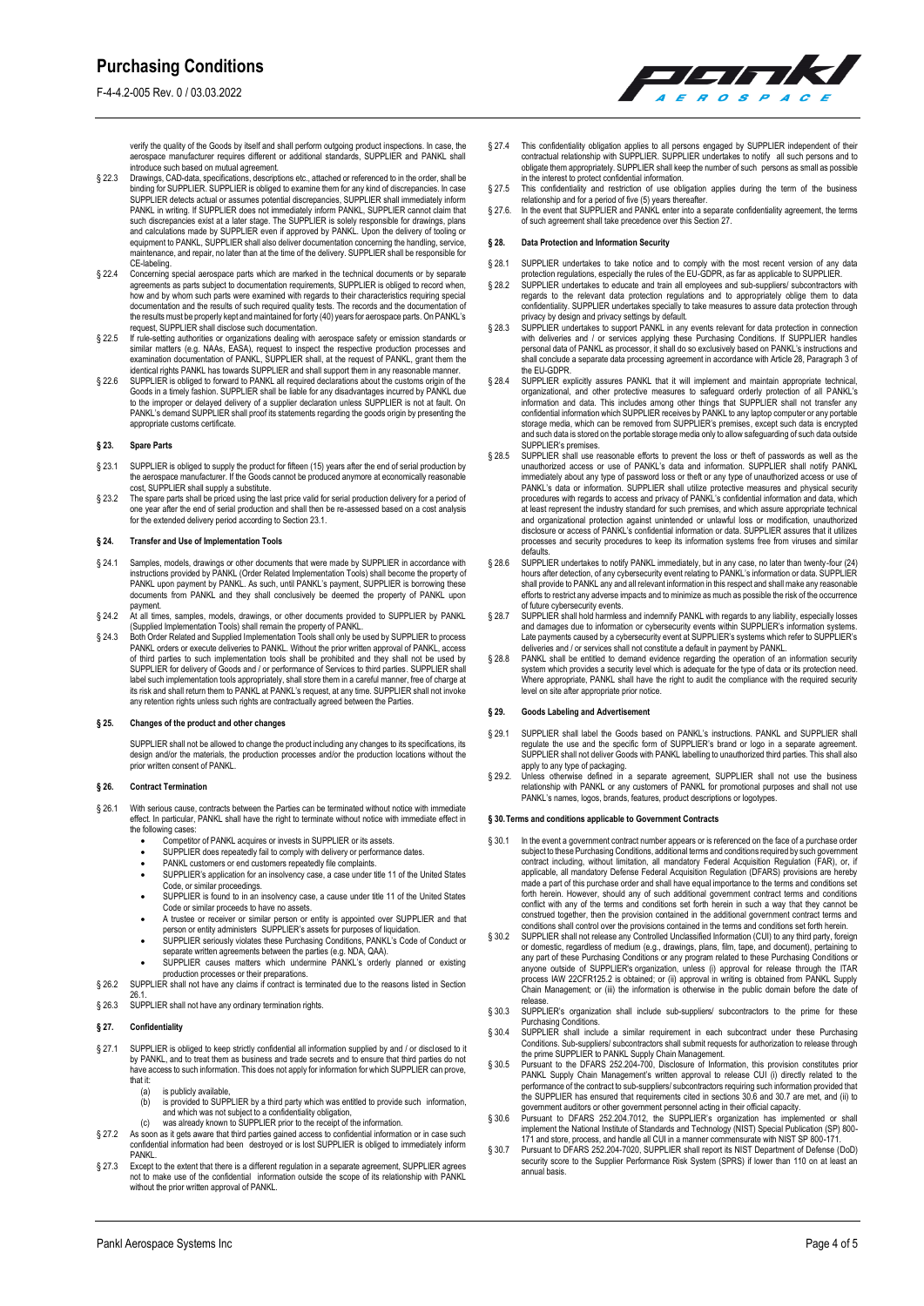

verify the quality of the Goods by itself and shall perform outgoing product inspections. In case, the aerospace manufacturer requires different or additional standards, SUPPLIER and PANKL shall

- introduce such based on mutual agreement.<br>§ 22.3 Drawings, CAD-data, specifications, descriptions etc., attached or referenced to in the order, shall be<br>binding for SUPPLIER. SUPPLIER is obliged to examine them for any SUPPLIER detects actual or assumes potential discrepancies, SUPPLIER shall immediately inform PANKL in writing. If SUPPLIER does not immediately inform PANKL, SUPPLIER cannot claim that such discrepancies exist at a later stage. The SUPPLIER is solely responsible for drawings, plans and calculations made by SUPPLIER even if approved by PANKL. Upon the delivery of tooling or equipment to PANKL, SUPPLIER shall also deliver documentation concerning the handling, servi maintenance, and repair, no later than at the time of the delivery. SUPPLIER shall be responsible for the state of the delivery. CE-labeling.
- § 22.4 Concerning special aerospace parts which are marked in the technical documents or by separate agreements as parts subject to documentation requirements, SUPPLIER is obliged to record when, how and by whom such parts were examined with regards to their characteristics requiring special documentation and the results of such required quality tests. The records and the docume the results must be properly kept and maintained for forty (40) years for aerospace parts. On PANKL's request, SUPPLIER shall disclose such documentation.
- § 22.5 If rule-setting authorities or organizations dealing with aerospace safety or emission standards or similar matters (e.g. NAAs, EASA), request to inspect the respective production processes and examination documentation of PANKL, SUPPLIER shall, at the request of PANKL, grant them the<br>identical rights PANKL has towards SUPPLIER and shall support them in any reasonable manner.
- § 22.6 SUPPLIER is obliged to forward to PANKL all required declarations about the customs origin of the Goods in a timely fashion. SUPPLIER shall be liable for any disadvantages incurred by PANKL due<br>to the improper or de appropriate customs certificate.

#### **§ 23. Spare Parts**

- § 23.1 SUPPLIER is obliged to supply the product for fifteen (15) years after the end of serial production by the aerospace manufacturer. If the Goods cannot be produced anymore at economically reasonable cost, SUPPLIER shall supply a substitute.
- § 23.2 The spare parts shall be priced using the last price valid for serial production delivery for a period of<br>one year after the end of serial production and shall then be re-assessed based on a cost analysis for the extended delivery period according to Section 23.1.

#### **§ 24. Transfer and Use of Implementation Tools**

- § 24.1 Samples, models, drawings or other documents that were made by SUPPLIER in accordance with instructions provided by PANKL (Order Related Implementation Tools) shall become the property of PANKL upon payment by PANKL. As such, until PANKL's payment, SUPPLIER is borrowing these documents from PANKL and they shall conclusively be deemed the property of PANKL upon payment.
- § 24.2 At all times, samples, models, drawings, or other documents provided to SUPPLIER by PANKL (Supplied Implementation Tools) shall remain the property of PANKL.
- § 24.3 Both Order Related and Supplied Implementation Tools shall only be used by SUPPLIER to process PANNE<br>PANNE orders or execute deliveries to PANKL. Without the prior written approval of PANKL, access<br>of third parties SUPPLIER for delivery of Goods and / or performance of Services to third parties. SUPPLIER shall label such implementation tools appropriately, shall store them in a careful manner, free of charge at its risk and shall return them to PANKL at PANKL's request, at any time. SUPPLIER shall not invoke<br>any retention rights unless such rights are contractually agreed between the Parties.

## **§ 25. Changes of the product and other changes**

SUPPLIER shall not be allowed to change the product including any changes to its specifications, its design and/or the materials, the production processes and/or the production locations without the prior written consent of PANKL.

### **§ 26. Contract Termination**

- § 26.1 With serious cause, contracts between the Parties can be terminated without notice with immediate effect. In particular, PANKL shall have the right to terminate without notice with immediate effect in the following cases
	- Competitor of PANKL acquires or invests in SUPPLIER or its assets.
	- SUPPLIER does repeatedly fail to comply with delivery or performance dates. PANKL customers or end customers repeatedly file complaints.
	-
	- SUPPLIER's application for an insolvency case, a case under title 11 of the United States Code, or similar proceedings.
	- SUPPLIER is found to in an insolvency case, a cause under title 11 of the United State Code or similar proceeds to have no assets.
	- A trustee or receiver or similar person or entity is appointed over SUPPLIER and that<br>
	person or entity administers SUPPLIER's assets for purposes of liquidation.<br>
	SUPPLIER seriously violates these Purchasing Conditions, P
	- separate written agreements between the parties (e.g. NDA, QAA). SUPPLIER causes matters which undermine PANKL's orderly planned or existing
- production processes or their preparations.<br>§ 26.2 SUPPLIER shall not have any claims if contract is terminated due to the reasons listed in Section
	- 26.1.
- § 26.3 SUPPLIER shall not have any ordinary termination rights.

## **§ 27. Confidentiality**

- § 27.1 SUPPLIER is obliged to keep strictly confidential all information supplied by and / or disclosed to it by PANKL, and to treat them as business and trade secrets and to ensure that third parties do not ve access to such information. This does not apply for information for which SUPPLIER can prove, that it:<br>(a)
	-
	- (a) is publicly available, (b) is provided to SUPPLIER by a third party which was entitled to provide such information, and which was not subject to a confidentiality obligation, (c) was already known to SUPPLIER prior to the receipt of the information.
	-
- § 27.2 As soon as it gets aware that third parties gained access to confidential information or in case such confidential information had been destroyed or is lost SUPPLIER is obliged to immediately inform PANKL.
- § 27.3 Except to the extent that there is a different regulation in a separate agreement, SUPPLIER agrees not to make use of the confidential information outside the scope of its relationship with PANKL without the prior written approval of PANKL.
- § 27.4 This confidentiality obligation applies to all persons engaged by SUPPLIER independent of their contractual relationship with SUPPLIER. SUPPLIER undertakes to notify all such persons and to obligate them appropriately. SUPPLIER shall keep the number of such persons as small as possible<br>in the interest to protect confidential information.<br>§ 27.5 This confidentiality and restriction of use obligation applies du
- relationship and for a period of five (5) years thereafter. § 27.6. In the event that SUPPLIER and PANKL enter into a separate confidentiality agreement, the terms
- of such agreement shall take precedence over this Section 27.

#### **§ 28. Data Protection and Information Security**

- § 28.1 SUPPLIER undertakes to take notice and to comply with the most recent version of any data protection regulations, especially the rules of the EU-GDPR, as far as applicable to SUPPLIER.
- § 28.2 SUPPLIER undertakes to educate and train all employees and sub-suppliers/ subcontractors with<br>regards to the relevant data protection regulations and to appropriately oblige them to data<br>confidentiality. SUPPLIER un privacy by design and privacy settings by default.
- § 28.3 SUPPLIER undertakes to support PANKL in any events relevant for data protection in connection with deliveries and / or services applying these Purchasing Conditions. If SUPPLIER handles<br>prosonal data of PANKL as pro shall conclude a separate data processing agreement in accordance with Article 28, Paragraph 3 of the EU-GDPR.
- § 28.4 SUPPLIER explicitly assures PANKL that it will implement and maintain appropriate technical, organizational, and other protective measures to safeguard orderly protection of all PANKL's information and data. This in and such data is stored on the portable storage media only to allow safeguarding of such data outside SUPPLIER's premises.
- § 28.5 SUPPLIER shall use reasonable efforts to prevent the loss or theft of passwords as well as the unauthorized access or use of PANKL's data and information. SUPPLIER shall notify PANKL immediately about any type of password loss or theft or any type of unauthorized access or use of PANKL's data or information. SUPPLIER shall utilize protective measures and physical security procedures with regards to access and privacy of PANKL's confidential information and data, which at least represent the industry standard for such premises, and which assure appropriate technical and organizational protection against unintended or unlawful loss or modification, unauthorized disclosure or access of PANKL's confidential information or data. SUPPLIER assures that it utilizes processes and security procedures to keep its information systems free from viruses and similar defaults
- s 28.6 SUPPLIER undertakes to notify PANKL immediately, but in any case, no later than twenty-four (24) hours after detection, of any cybersecurity event relation to that a SUPPLIER<br>hours after detection, of any cybersecur efforts to restrict any adverse impacts and to minimize as much as possible the risk of the occurrence of future cybersecurity events.
- § 28.7 SUPPLIER shall hold harmless and indemnify PANKL with regards to any liability, especially losses<br>and damages due to information or cybersecurity events within SUPPLIER's information systems.<br>Late payments caused by
- system which provides a security level which is adequate for the type of data or its protection need. Where appropriate, PANKL shall have the right to audit the compliance with the required security level on site after appropriate prior notice.

#### **§ 29. Goods Labeling and Advertisement**

- § 29.1 SUPPLIER shall label the Goods based on PANKL's instructions. PANKL and SUPPLIER shall regulate the use and the specific form of SUPPLIER's brand or logo in a separate agreement. SUPPLIER shall not deliver Goods with PANKL labelling to unauthorized third parties. This shall also
- apply to any type of packaging. § 29.2. Unless otherwise defined in a separate agreement, SUPPLIER shall not use the business relationship with PANKL or any customers of PANKL for promotional purposes and shall not use PANKL's names, logos, brands, features, product descriptions or logotypes.

#### **§ 30.Terms and conditions applicable to Government Contracts**

- § 30.1 In the event a government contract number appears or is referenced on the face of a purchase order subject to these Purchasing Conditions, additional terms and conditions required by such government contract including, without limitation, all mandatory Federal Acquisition Regulation (FAR), or, if applicable, all mandatory Defense Federal Acquisition Regulation (DFARS) provisions are hereby<br>made a part of this purchase order and shall have equal importance to the terms and conditions set<br>forth herein. However, shoul conflict with any of the terms and conditions set forth herein in such a way that they cannot be construed together, then the provision contained in the additional government contract terms and
- conditions shall control over the provisions contained in the terms and conditions set forth herein.<br>§ 30.2 SUPPLIER shall not release any Controlled Unclassified Information (CUI) to any third party, foreign<br>or domestic, anyone outside of SUPPLIER's organization, unless (i) approval for release through the ITAR<br>process IAW 22CFR125.2 is obtained; or (ii) approval in writing is obtained from PANKL Supply<br>Chain Management; or (iii) the infor
- release. § 30.3 SUPPLIER's organization shall include sub-suppliers/ subcontractors to the prime for these
- Purchasing Conditions. § 30.4 SUPPLIER shall include a similar requirement in each subcontract under these Purchasing Conditions. Sub-suppliers/ subcontractors shall submit requests for authorization to release through<br>the prime SUPPLIER to PANKL Supply Chain Management.<br>§ 30.5 Pursuant to the DFARS 252.204-700, Disclosure of Information,
- PANKL Supply Chain Management's written approval to release CUI (i) directly related to the performance of the contract to sub-suppliers/ subcontractors requiring such information provided that the SUPPLIER has ensured that requirements cited in sections 30.6 and 30.7 are met, and (ii) to
- government auditors or other government personnel acting in their official capacity.<br>1930.6 Pursuant to DFARS 252.204.7012, the SUPPLIER's organization has implemented or shall §<br>1980.6 implement the National Institute of
- 171 and store, process, and handle all CUI in a manner commensurate with NIST SP 800-171. § 30.7 Pursuant to DFARS 252.204-7020, SUPPLIER shall report its NIST Department of Defense (DoD) security score to the Supplier Performance Risk System (SPRS) if lower than 110 on at least an annual basis.